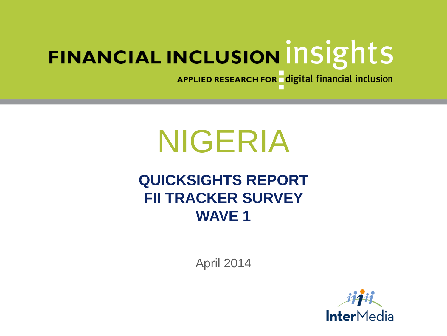APPLIED RESEARCH FOR digital financial inclusion

# NIGERIA

### **QUICKSIGHTS REPORT FII TRACKER SURVEY WAVE 1**

April 2014

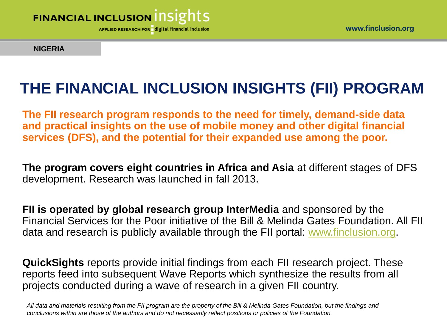

**NIGERIA**

# **THE FINANCIAL INCLUSION INSIGHTS (FII) PROGRAM**

**The FII research program responds to the need for timely, demand-side data and practical insights on the use of mobile money and other digital financial services (DFS), and the potential for their expanded use among the poor.** 

**The program covers eight countries in Africa and Asia** at different stages of DFS development. Research was launched in fall 2013.

**FII is operated by global research group InterMedia** and sponsored by the Financial Services for the Poor initiative of the Bill & Melinda Gates Foundation. All FII data and research is publicly available through the FII portal: [www.finclusion.org](http://www.finclusion.org/).

**QuickSights** reports provide initial findings from each FII research project. These reports feed into subsequent Wave Reports which synthesize the results from all projects conducted during a wave of research in a given FII country.

*All data and materials resulting from the FII program are the property of the Bill & Melinda Gates Foundation, but the findings and conclusions within are those of the authors and do not necessarily reflect positions or policies of the Foundation.*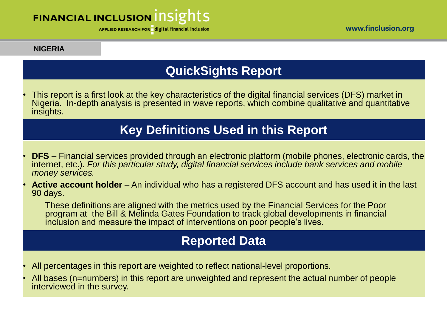APPLIED RESEARCH FOR digital financial inclusion

#### **NIGERIA**

#### **QuickSights Report**

• This report is a first look at the key characteristics of the digital financial services (DFS) market in Nigeria. In-depth analysis is presented in wave reports, which combine qualitative and quantitative insights.

#### **Key Definitions Used in this Report**

- **DFS** Financial services provided through an electronic platform (mobile phones, electronic cards, the internet, etc.). *For this particular study, digital financial services include bank services and mobile money services.*
- **Active account holder** An individual who has a registered DFS account and has used it in the last 90 days.

These definitions are aligned with the metrics used by the Financial Services for the Poor program at the Bill & Melinda Gates Foundation to track global developments in financial inclusion and measure the impact of interventions on poor people's lives.

#### **Reported Data**

- All percentages in this report are weighted to reflect national-level proportions.
- All bases (n=numbers) in this report are unweighted and represent the actual number of people interviewed in the survey.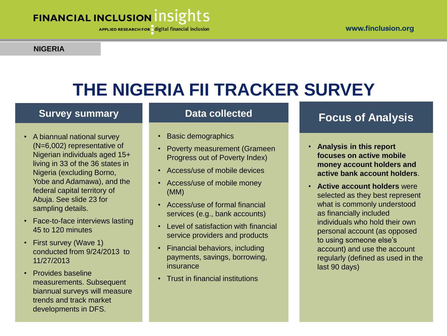APPLIED RESEARCH FOR digital financial inclusion

#### **NIGERIA**

# **THE NIGERIA FII TRACKER SURVEY**

#### **Survey summary**

- A biannual national survey (N=6,002) representative of Nigerian individuals aged 15+ living in 33 of the 36 states in Nigeria (excluding Borno, Yobe and Adamawa), and the federal capital territory of Abuja. See slide 23 for sampling details.
- Face-to-face interviews lasting 45 to 120 minutes
- First survey (Wave 1) conducted from 9/24/2013 to 11/27/2013
- Provides baseline measurements. Subsequent biannual surveys will measure trends and track market developments in DFS.

#### **Data collected**

- Basic demographics
- Poverty measurement (Grameen Progress out of Poverty Index)
- Access/use of mobile devices
- Access/use of mobile money (MM)
- Access/use of formal financial services (e.g., bank accounts)
- Level of satisfaction with financial service providers and products
- Financial behaviors, including payments, savings, borrowing, insurance
- Trust in financial institutions

#### **Focus of Analysis**

- **Analysis in this report focuses on active mobile money account holders and active bank account holders**.
- **Active account holders** were selected as they best represent what is commonly understood as financially included individuals who hold their own personal account (as opposed to using someone else's account) and use the account regularly (defined as used in the last 90 days)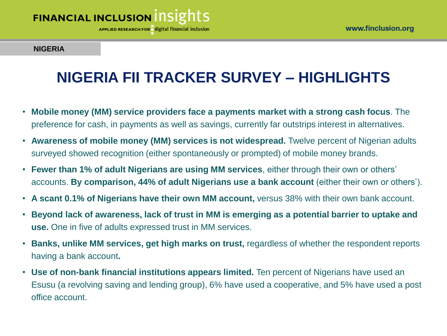**APPLIED RESEARCH FOR** digital financial inclusion

#### **NIGERIA**

### **NIGERIA FII TRACKER SURVEY – HIGHLIGHTS**

- **Mobile money (MM) service providers face a payments market with a strong cash focus**. The preference for cash, in payments as well as savings, currently far outstrips interest in alternatives.
- **Awareness of mobile money (MM) services is not widespread.** Twelve percent of Nigerian adults surveyed showed recognition (either spontaneously or prompted) of mobile money brands.
- **Fewer than 1% of adult Nigerians are using MM services**, either through their own or others' accounts. **By comparison, 44% of adult Nigerians use a bank account** (either their own or others').
- **A scant 0.1% of Nigerians have their own MM account,** versus 38% with their own bank account.
- **Beyond lack of awareness, lack of trust in MM is emerging as a potential barrier to uptake and use.** One in five of adults expressed trust in MM services.
- **Banks, unlike MM services, get high marks on trust,** regardless of whether the respondent reports having a bank account**.**
- **Use of non-bank financial institutions appears limited.** Ten percent of Nigerians have used an Esusu (a revolving saving and lending group), 6% have used a cooperative, and 5% have used a post office account.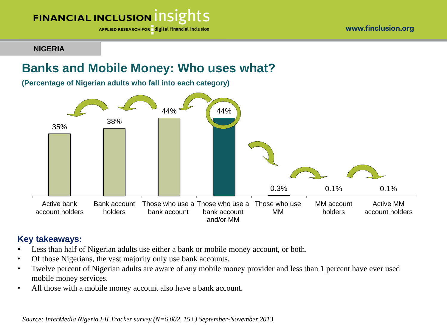

**NIGERIA**

#### **Banks and Mobile Money: Who uses what?**

**(Percentage of Nigerian adults who fall into each category)**



#### **Key takeaways:**

- Less than half of Nigerian adults use either a bank or mobile money account, or both.
- Of those Nigerians, the vast majority only use bank accounts.
- Twelve percent of Nigerian adults are aware of any mobile money provider and less than 1 percent have ever used mobile money services.
- All those with a mobile money account also have a bank account.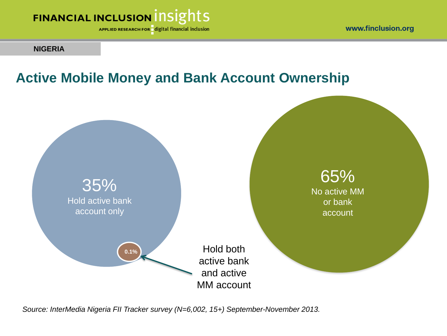APPLIED RESEARCH FOR digital financial inclusion

#### **NIGERIA**

### **Active Mobile Money and Bank Account Ownership**

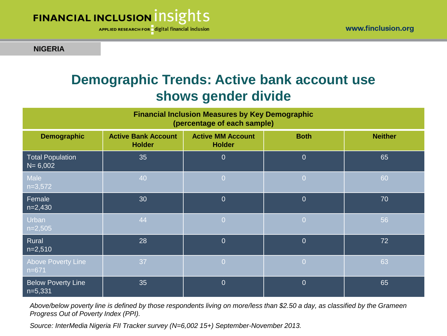

**NIGERIA**

### **Demographic Trends: Active bank account use shows gender divide**

| <b>Financial Inclusion Measures by Key Demographic</b><br>(percentage of each sample) |                                             |                                           |                |                |  |  |  |  |
|---------------------------------------------------------------------------------------|---------------------------------------------|-------------------------------------------|----------------|----------------|--|--|--|--|
| <b>Demographic</b>                                                                    | <b>Active Bank Account</b><br><b>Holder</b> | <b>Active MM Account</b><br><b>Holder</b> | <b>Both</b>    | <b>Neither</b> |  |  |  |  |
| <b>Total Population</b><br>$N = 6,002$                                                | 35                                          | $\overline{0}$                            | $\overline{0}$ | 65             |  |  |  |  |
| Male<br>$n=3,572$                                                                     | 40                                          | $\overline{0}$                            | $\overline{0}$ | 60             |  |  |  |  |
| Female<br>$n=2,430$                                                                   | 30                                          | $\theta$                                  | $\overline{0}$ | 70             |  |  |  |  |
| Urban<br>$n=2,505$                                                                    | 44                                          | $\overline{0}$                            | $\overline{0}$ | 56             |  |  |  |  |
| Rural<br>$n=2,510$                                                                    | 28                                          | $\overline{0}$                            | $\overline{0}$ | 72             |  |  |  |  |
| <b>Above Poverty Line</b><br>$n=671$                                                  | 37                                          | $\overline{0}$                            | $\overline{0}$ | 63             |  |  |  |  |
| <b>Below Poverty Line</b><br>$n=5,331$                                                | 35                                          | $\overline{0}$                            | $\overline{0}$ | 65             |  |  |  |  |

*Above/below poverty line is defined by those respondents living on more/less than \$2.50 a day, as classified by the Grameen Progress Out of Poverty Index (PPI).*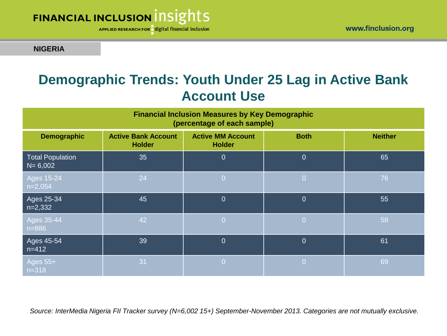

APPLIED RESEARCH FOR digital financial inclusion

#### **NIGERIA**

### **Demographic Trends: Youth Under 25 Lag in Active Bank Account Use**

| <b>Financial Inclusion Measures by Key Demographic</b><br>(percentage of each sample) |                                             |                                           |                |                |  |  |  |  |
|---------------------------------------------------------------------------------------|---------------------------------------------|-------------------------------------------|----------------|----------------|--|--|--|--|
| <b>Demographic</b>                                                                    | <b>Active Bank Account</b><br><b>Holder</b> | <b>Active MM Account</b><br><b>Holder</b> | <b>Both</b>    | <b>Neither</b> |  |  |  |  |
| <b>Total Population</b><br>$N = 6,002$                                                | 35                                          | $\overline{0}$                            | $\overline{0}$ | 65             |  |  |  |  |
| $\overline{\text{Ages}}$ 15-24<br>$n=2,054$                                           | 24                                          | $\overline{0}$                            | $\overline{0}$ | 76             |  |  |  |  |
| Ages 25-34<br>$n=2,332$                                                               | 45                                          | $\overline{0}$                            | $\overline{0}$ | 55             |  |  |  |  |
| Ages 35-44<br>$n = 886$                                                               | 42                                          | $\overline{0}$                            | $\overline{0}$ | 58             |  |  |  |  |
| Ages 45-54<br>$n = 412$                                                               | 39                                          | $\overline{0}$                            | $\overline{0}$ | 61             |  |  |  |  |
| Ages 55+<br>$n = 318$                                                                 | 31                                          | $\Omega$                                  | l Öi           | 69             |  |  |  |  |

*Source: InterMedia Nigeria FII Tracker survey (N=6,002 15+) September-November 2013. Categories are not mutually exclusive.*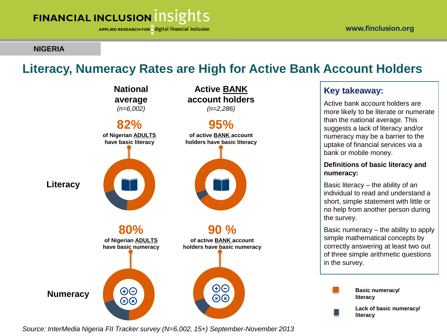APPLIED RESEARCH FOR digital financial inclusion

#### **NIGERIA**

#### **Literacy, Numeracy Rates are High for Active Bank Account Holders**



#### *Source: InterMedia Nigeria FII Tracker survey (N=6,002, 15+) September-November 2013*

#### **Key takeaway:**

Active bank account holders are more likely to be literate or numerate than the national average. This suggests a lack of literacy and/or numeracy may be a barrier to the uptake of financial services via a bank or mobile money.

#### **Definitions of basic literacy and numeracy:**

Basic literacy – the ability of an individual to read and understand a short, simple statement with little or no help from another person during the survey.

Basic numeracy – the ability to apply simple mathematical concepts by correctly answering at least two out of three simple arithmetic questions in the survey.

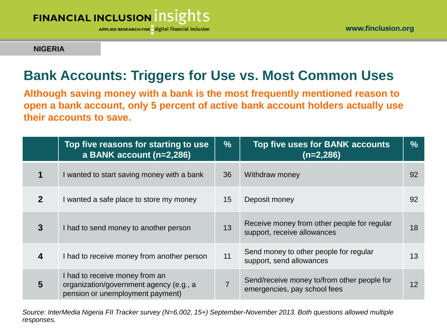

www.finclusion.org

#### **NIGERIA**

### **Bank Accounts: Triggers for Use vs. Most Common Uses**

**Although saving money with a bank is the most frequently mentioned reason to open a bank account, only 5 percent of active bank account holders actually use their accounts to save.**

|                | Top five reasons for starting to use<br>a BANK account (n=2,286)                                              | $\frac{9}{6}$  | Top five uses for BANK accounts<br>$(n=2,286)$                              | $\frac{0}{0}$ |
|----------------|---------------------------------------------------------------------------------------------------------------|----------------|-----------------------------------------------------------------------------|---------------|
|                | I wanted to start saving money with a bank                                                                    | 36             | Withdraw money                                                              | 92            |
| $\overline{2}$ | I wanted a safe place to store my money                                                                       | 15             | Deposit money                                                               | 92            |
| 3              | I had to send money to another person                                                                         | 13             | Receive money from other people for regular<br>support, receive allowances  | 18            |
| 4              | I had to receive money from another person                                                                    | 11             | Send money to other people for regular<br>support, send allowances          | 13            |
| 5              | I had to receive money from an<br>organization/government agency (e.g., a<br>pension or unemployment payment) | $\overline{7}$ | Send/receive money to/from other people for<br>emergencies, pay school fees | 12            |

*Source: InterMedia Nigeria FII Tracker survey (N=6,002, 15+) September-November 2013. Both questions allowed multiple responses.*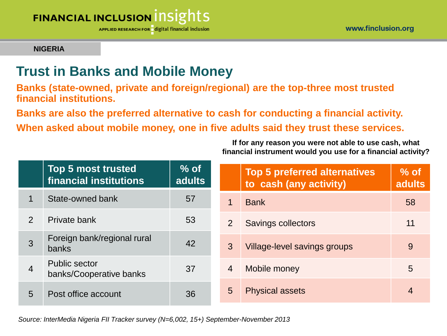APPLIED RESEARCH FOR digital financial inclusion

#### **NIGERIA**

### **Trust in Banks and Mobile Money**

**Banks (state-owned, private and foreign/regional) are the top-three most trusted financial institutions.** 

**Banks are also the preferred alternative to cash for conducting a financial activity.** 

**When asked about mobile money, one in five adults said they trust these services.**

**If for any reason you were not able to use cash, what financial instrument would you use for a financial activity?**

|                | <b>Top 5 most trusted</b><br>financial institutions | $\%$ of $\overline{\phantom{a}}$<br>adults |                | <b>Top 5 preferred alternatives</b><br>to cash (any activity) | $\%$ of<br><b>adults</b> |
|----------------|-----------------------------------------------------|--------------------------------------------|----------------|---------------------------------------------------------------|--------------------------|
| 1              | State-owned bank                                    | 57                                         | 1              | <b>Bank</b>                                                   | 58                       |
| $\overline{2}$ | Private bank                                        | 53                                         | 2              | <b>Savings collectors</b>                                     | 11                       |
| 3              | Foreign bank/regional rural<br>banks                | 42                                         | 3              | Village-level savings groups                                  | 9                        |
| $\overline{4}$ | <b>Public sector</b><br>banks/Cooperative banks     | 37                                         | $\overline{4}$ | Mobile money                                                  | 5                        |
| $\overline{5}$ | Post office account                                 | 36                                         | 5              | <b>Physical assets</b>                                        | $\overline{4}$           |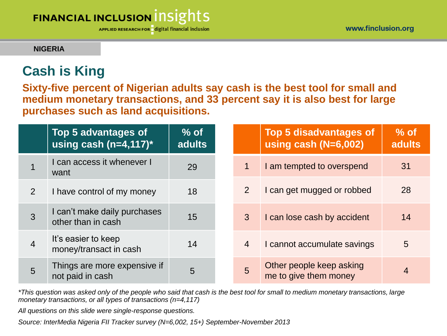**NIGERIA**

### **Cash is King**

**Sixty-five percent of Nigerian adults say cash is the best tool for small and medium monetary transactions, and 33 percent say it is also best for large purchases such as land acquisitions.**

|                | Top 5 advantages of<br>using cash (n=4,117) $*$    | $%$ of<br>adults |                | <b>Top 5 disadvantages of</b><br>using cash ( $N=6,002$ ) | $%$ of<br>adults |
|----------------|----------------------------------------------------|------------------|----------------|-----------------------------------------------------------|------------------|
|                | I can access it whenever I<br>want                 | 29               | $\overline{1}$ | I am tempted to overspend                                 | 31               |
| 2              | I have control of my money                         | 18               | $\overline{2}$ | I can get mugged or robbed                                | 28               |
| 3              | I can't make daily purchases<br>other than in cash | 15               | 3              | I can lose cash by accident                               | 14               |
| $\overline{4}$ | It's easier to keep<br>money/transact in cash      | 14               | $\overline{4}$ | I cannot accumulate savings                               | 5                |
| 5              | Things are more expensive if<br>not paid in cash   | 5                | 5              | Other people keep asking<br>me to give them money         | $\overline{4}$   |

*\*This question was asked only of the people who said that cash is the best tool for small to medium monetary transactions, large monetary transactions, or all types of transactions (n=4,117)*

*All questions on this slide were single-response questions.*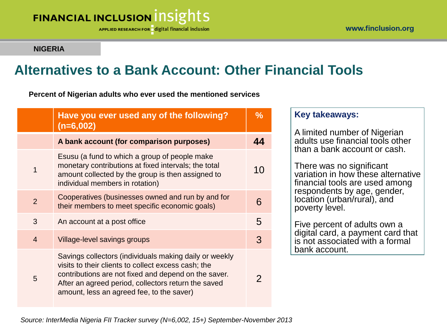**APPLIED RESEARCH FOR** digital financial inclusion

#### **NIGERIA**

### **Alternatives to a Bank Account: Other Financial Tools**

**Percent of Nigerian adults who ever used the mentioned services**

|                | Have you ever used any of the following?<br>$(n=6,002)$                                                                                                                                                                                                                   | $\frac{0}{0}$ |
|----------------|---------------------------------------------------------------------------------------------------------------------------------------------------------------------------------------------------------------------------------------------------------------------------|---------------|
|                | A bank account (for comparison purposes)                                                                                                                                                                                                                                  | 44            |
| 1              | Esusu (a fund to which a group of people make<br>monetary contributions at fixed intervals; the total<br>amount collected by the group is then assigned to<br>individual members in rotation)                                                                             | 10            |
| $\overline{2}$ | Cooperatives (businesses owned and run by and for<br>their members to meet specific economic goals)                                                                                                                                                                       | 6             |
| 3              | An account at a post office                                                                                                                                                                                                                                               | 5             |
| $\overline{4}$ | Village-level savings groups                                                                                                                                                                                                                                              | 3             |
| 5              | Savings collectors (individuals making daily or weekly<br>visits to their clients to collect excess cash; the<br>contributions are not fixed and depend on the saver.<br>After an agreed period, collectors return the saved<br>amount, less an agreed fee, to the saver) | 2             |

#### **Key takeaways:**

A limited number of Nigerian adults use financial tools other than a bank account or cash.

There was no significant variation in how these alternative financial tools are used among respondents by age, gender, location (urban/rural), and poverty level.

Five percent of adults own a digital card, a payment card that is not associated with a formal bank account.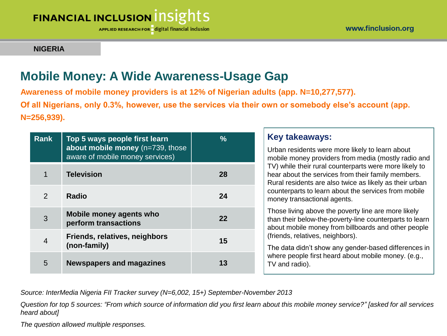APPLIED RESEARCH FOR digital financial inclusion

#### **NIGERIA**

#### **Mobile Money: A Wide Awareness-Usage Gap**

**Awareness of mobile money providers is at 12% of Nigerian adults (app. N=10,277,577). Of all Nigerians, only 0.3%, however, use the services via their own or somebody else's account (app. N=256,939).** 

| Rank           | Top 5 ways people first learn<br>about mobile money (n=739, those<br>aware of mobile money services) | $\frac{9}{6}$ | <b>Key takeaways:</b><br>Urban residents were more likely to learn about<br>mobile money providers from media (mostly radio and                                         |
|----------------|------------------------------------------------------------------------------------------------------|---------------|-------------------------------------------------------------------------------------------------------------------------------------------------------------------------|
|                | <b>Television</b>                                                                                    | 28            | TV) while their rural counterparts were more likely to<br>hear about the services from their family members.<br>Rural residents are also twice as likely as their urban |
| 2              | <b>Radio</b>                                                                                         | 24            | counterparts to learn about the services from mobile<br>money transactional agents.                                                                                     |
| 3              | Mobile money agents who<br>perform transactions                                                      | 22            | Those living above the poverty line are more likely<br>than their below-the-poverty-line counterparts to learn<br>about mobile money from billboards and other people   |
| $\overline{4}$ | Friends, relatives, neighbors<br>(non-family)                                                        | 15            | (friends, relatives, neighbors).<br>The data didn't show any gender-based differences in                                                                                |
| 5              | <b>Newspapers and magazines</b>                                                                      | 13            | where people first heard about mobile money. (e.g.,<br>TV and radio).                                                                                                   |

*Source: InterMedia Nigeria FII Tracker survey (N=6,002, 15+) September-November 2013*

*Question for top 5 sources: "From which source of information did you first learn about this mobile money service?" [asked for all services heard about]* 

*The question allowed multiple responses.*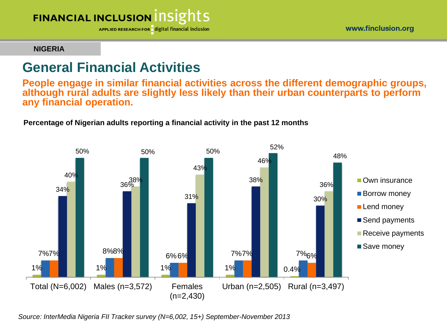

APPLIED RESEARCH FOR digital financial inclusion

#### **NIGERIA**

#### **General Financial Activities**

**People engage in similar financial activities across the different demographic groups, although rural adults are slightly less likely than their urban counterparts to perform any financial operation.**

#### **Percentage of Nigerian adults reporting a financial activity in the past 12 months**

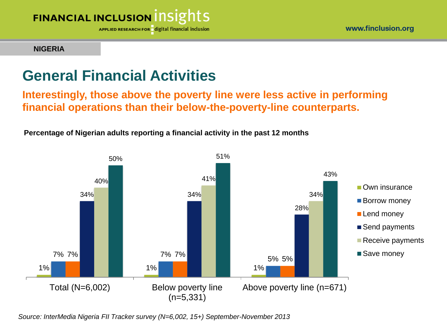

APPLIED RESEARCH FOR digital financial inclusion

#### **NIGERIA**

### **General Financial Activities**

**Interestingly, those above the poverty line were less active in performing financial operations than their below-the-poverty-line counterparts.**

**Percentage of Nigerian adults reporting a financial activity in the past 12 months**

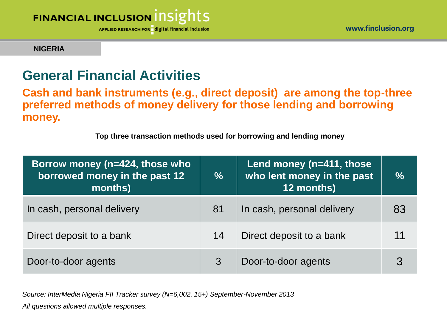APPLIED RESEARCH FOR digital financial inclusion

#### **NIGERIA**

#### **General Financial Activities**

**Cash and bank instruments (e.g., direct deposit) are among the top-three preferred methods of money delivery for those lending and borrowing money.**

**Top three transaction methods used for borrowing and lending money** 

| Borrow money (n=424, those who<br>borrowed money in the past 12<br>months) | $\frac{0}{0}$ | Lend money (n=411, those<br>who lent money in the past<br>12 months) | $\frac{0}{0}$ |
|----------------------------------------------------------------------------|---------------|----------------------------------------------------------------------|---------------|
| In cash, personal delivery                                                 | 81            | In cash, personal delivery                                           | 83            |
| Direct deposit to a bank                                                   | 14            | Direct deposit to a bank                                             |               |
| Door-to-door agents                                                        |               | Door-to-door agents                                                  |               |

*Source: InterMedia Nigeria FII Tracker survey (N=6,002, 15+) September-November 2013 All questions allowed multiple responses.*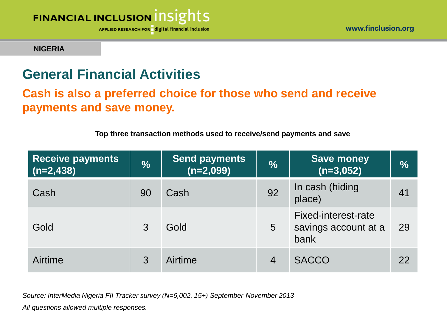

#### **NIGERIA**

### **General Financial Activities**

#### **Cash is also a preferred choice for those who send and receive payments and save money.**

| <b>Receive payments</b><br>$(n=2,438)$ | $\frac{0}{0}$ | <b>Send payments</b><br>$(n=2,099)$ | $\frac{0}{0}$   | <b>Save money</b><br>$(n=3,052)$                           | $\overline{\frac{9}{6}}$ |
|----------------------------------------|---------------|-------------------------------------|-----------------|------------------------------------------------------------|--------------------------|
| Cash                                   | 90            | Cash                                | 92              | In cash (hiding<br>place)                                  | 41                       |
| Gold                                   | 3             | Gold                                | $5\overline{)}$ | <b>Fixed-interest-rate</b><br>savings account at a<br>bank | 29                       |
| Airtime                                | 3             | Airtime                             | $\overline{4}$  | <b>SACCO</b>                                               | 22                       |

**Top three transaction methods used to receive/send payments and save**

*Source: InterMedia Nigeria FII Tracker survey (N=6,002, 15+) September-November 2013*

*All questions allowed multiple responses.*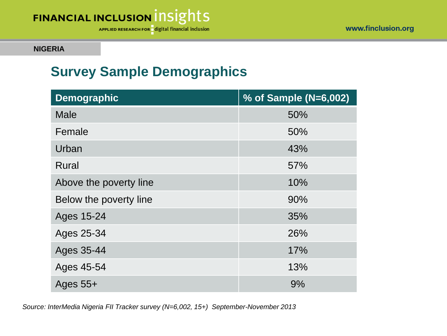



**NIGERIA**

### **Survey Sample Demographics**

| <b>Demographic</b>     | % of Sample (N=6,002) |
|------------------------|-----------------------|
| <b>Male</b>            | 50%                   |
| Female                 | 50%                   |
| Urban                  | 43%                   |
| <b>Rural</b>           | 57%                   |
| Above the poverty line | 10%                   |
| Below the poverty line | 90%                   |
| Ages 15-24             | 35%                   |
| Ages 25-34             | 26%                   |
| Ages 35-44             | 17%                   |
| Ages 45-54             | 13%                   |
| Ages $55+$             | 9%                    |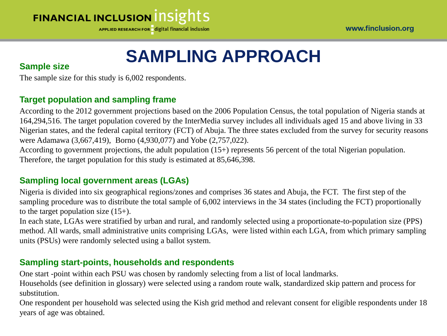APPLIED RESEARCH FOR digital financial inclusion

# **SAMPLING APPROACH**

#### **Sample size**

The sample size for this study is 6,002 respondents.

#### **Target population and sampling frame**

According to the 2012 government projections based on the 2006 Population Census, the total population of Nigeria stands at 164,294,516. The target population covered by the InterMedia survey includes all individuals aged 15 and above living in 33 Nigerian states, and the federal capital territory (FCT) of Abuja. The three states excluded from the survey for security reasons were Adamawa (3,667,419), Borno (4,930,077) and Yobe (2,757,022).

According to government projections, the adult population (15+) represents 56 percent of the total Nigerian population. Therefore, the target population for this study is estimated at 85,646,398.

#### **Sampling local government areas (LGAs)**

Nigeria is divided into six geographical regions/zones and comprises 36 states and Abuja, the FCT. The first step of the sampling procedure was to distribute the total sample of 6,002 interviews in the 34 states (including the FCT) proportionally to the target population size  $(15+)$ .

In each state, LGAs were stratified by urban and rural, and randomly selected using a proportionate-to-population size (PPS) method. All wards, small administrative units comprising LGAs, were listed within each LGA, from which primary sampling units (PSUs) were randomly selected using a ballot system.

#### **Sampling start-points, households and respondents**

One start -point within each PSU was chosen by randomly selecting from a list of local landmarks.

Households (see definition in glossary) were selected using a random route walk, standardized skip pattern and process for substitution.

One respondent per household was selected using the Kish grid method and relevant consent for eligible respondents under 18 years of age was obtained.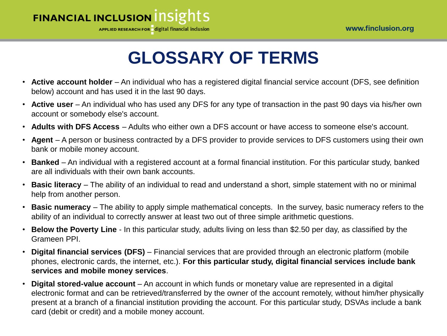

# **GLOSSARY OF TERMS**

- **Active account holder** An individual who has a registered digital financial service account (DFS, see definition below) account and has used it in the last 90 days.
- **Active user** An individual who has used any DFS for any type of transaction in the past 90 days via his/her own account or somebody else's account.
- **Adults with DFS Access** Adults who either own a DFS account or have access to someone else's account.
- **Agent** A person or business contracted by a DFS provider to provide services to DFS customers using their own bank or mobile money account.
- **Banked** An individual with a registered account at a formal financial institution. For this particular study, banked are all individuals with their own bank accounts.
- **Basic literacy**  The ability of an individual to read and understand a short, simple statement with no or minimal help from another person.
- **Basic numeracy**  The ability to apply simple mathematical concepts. In the survey, basic numeracy refers to the ability of an individual to correctly answer at least two out of three simple arithmetic questions.
- **Below the Poverty Line**  In this particular study, adults living on less than \$2.50 per day, as classified by the Grameen PPI.
- **Digital financial services (DFS)** Financial services that are provided through an electronic platform (mobile phones, electronic cards, the internet, etc.). **For this particular study, digital financial services include bank services and mobile money services**.
- **Digital stored-value account**  An account in which funds or monetary value are represented in a digital electronic format and can be retrieved/transferred by the owner of the account remotely, without him/her physically present at a branch of a financial institution providing the account. For this particular study, DSVAs include a bank card (debit or credit) and a mobile money account.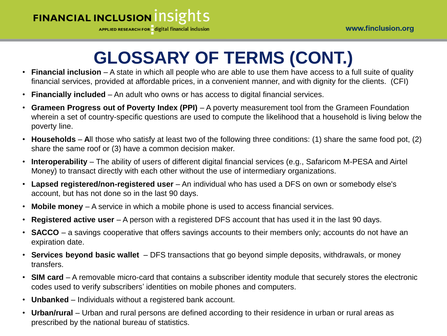APPLIED RESEARCH FOR digital financial inclusion

# **GLOSSARY OF TERMS (CONT.)**

- **Financial inclusion**  A state in which all people who are able to use them have access to a full suite of quality financial services, provided at affordable prices, in a convenient manner, and with dignity for the clients. (CFI)
- **Financially included**  An adult who owns or has access to digital financial services.
- **Grameen Progress out of Poverty Index (PPI)**  A poverty measurement tool from the Grameen Foundation wherein a set of country-specific questions are used to compute the likelihood that a household is living below the poverty line.
- **Households A**ll those who satisfy at least two of the following three conditions: (1) share the same food pot, (2) share the same roof or (3) have a common decision maker.
- **Interoperability** The ability of users of different digital financial services (e.g., Safaricom M-PESA and Airtel Money) to transact directly with each other without the use of intermediary organizations.
- **Lapsed registered/non-registered user**  An individual who has used a DFS on own or somebody else's account, but has not done so in the last 90 days.
- **Mobile money**  A service in which a mobile phone is used to access financial services.
- **Registered active user**  A person with a registered DFS account that has used it in the last 90 days.
- **SACCO** a savings cooperative that offers savings accounts to their members only; accounts do not have an expiration date.
- **Services beyond basic wallet**  DFS transactions that go beyond simple deposits, withdrawals, or money transfers.
- **SIM card**  A removable micro-card that contains a subscriber identity module that securely stores the electronic codes used to verify subscribers' identities on mobile phones and computers.
- **Unbanked** Individuals without a registered bank account.
- **Urban/rural** Urban and rural persons are defined according to their residence in urban or rural areas as prescribed by the national bureau of statistics.